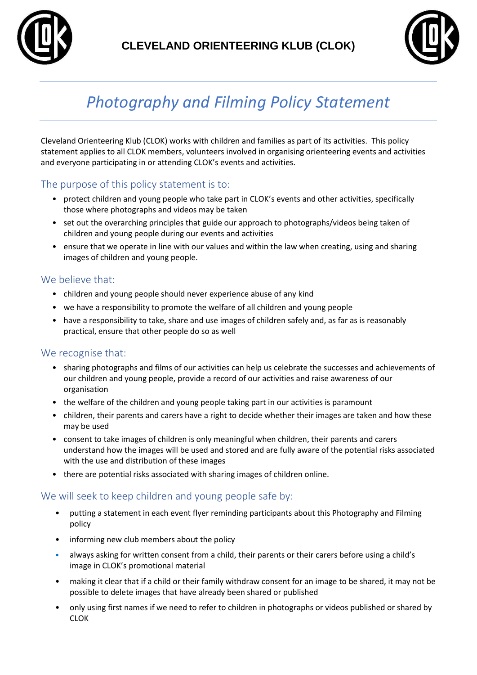



# *Photography and Filming Policy Statement*

Cleveland Orienteering Klub (CLOK) works with children and families as part of its activities. This policy statement applies to all CLOK members, volunteers involved in organising orienteering events and activities and everyone participating in or attending CLOK's events and activities.

## The purpose of this policy statement is to:

- protect children and young people who take part in CLOK's events and other activities, specifically those where photographs and videos may be taken
- set out the overarching principles that guide our approach to photographs/videos being taken of children and young people during our events and activities
- ensure that we operate in line with our values and within the law when creating, using and sharing images of children and young people.

## We believe that:

- children and young people should never experience abuse of any kind
- we have a responsibility to promote the welfare of all children and young people
- have a responsibility to take, share and use images of children safely and, as far as is reasonably practical, ensure that other people do so as well

#### We recognise that:

- sharing photographs and films of our activities can help us celebrate the successes and achievements of our children and young people, provide a record of our activities and raise awareness of our organisation
- the welfare of the children and young people taking part in our activities is paramount
- children, their parents and carers have a right to decide whether their images are taken and how these may be used
- consent to take images of children is only meaningful when children, their parents and carers understand how the images will be used and stored and are fully aware of the potential risks associated with the use and distribution of these images
- there are potential risks associated with sharing images of children online.

## We will seek to keep children and young people safe by:

- putting a statement in each event flyer reminding participants about this Photography and Filming policy
- informing new club members about the policy
- always asking for written consent from a child, their parents or their carers before using a child's image in CLOK's promotional material
- making it clear that if a child or their family withdraw consent for an image to be shared, it may not be possible to delete images that have already been shared or published
- only using first names if we need to refer to children in photographs or videos published or shared by CLOK